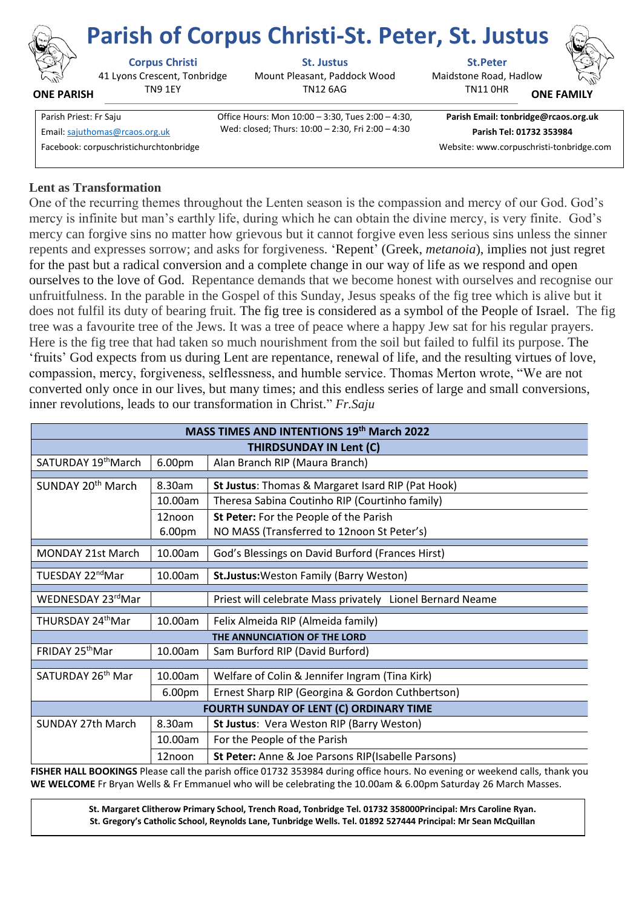

**ONE PARISH**

41 Lyons Crescent, Tonbridge TN9 1EY

**Corpus Christi St. Justus St.Peter**

Mount Pleasant, Paddock Wood TN12 6AG

Maidstone Road, Hadlow **Parish of Corpus Christi-St. Peter, St. Justus**



**ONE FAMI** 

Parish Priest: Fr Saju Office Hours: Mon 10:00 – 3:30, Tues 2:00 – 4:30, Wed: closed; Thurs: 10:00 – 2:30, Fri 2:00 – 4:30 Email[: sajuthomas@rcaos.org.uk](about:blank) **Parish Tel: 01732 353984**

**Parish Email: tonbridge@rcaos.org.uk**

TN11 0HR

Facebook: corpuschristichurchtonbridge Website: www.corpuschristi-tonbridge.com

# **Lent as Transformation**

One of the recurring themes throughout the Lenten season is the compassion and mercy of our God. God's mercy is infinite but man's earthly life, during which he can obtain the divine mercy, is very finite. God's mercy can forgive sins no matter how grievous but it cannot forgive even less serious sins unless the sinner repents and expresses sorrow; and asks for forgiveness. 'Repent' (Greek, *metanoia*), implies not just regret for the past but a radical conversion and a complete change in our way of life as we respond and open ourselves to the love of God. Repentance demands that we become honest with ourselves and recognise our unfruitfulness. In the parable in the Gospel of this Sunday, Jesus speaks of the fig tree which is alive but it does not fulfil its duty of bearing fruit. The fig tree is considered as a symbol of the People of Israel. The fig tree was a favourite tree of the Jews. It was a tree of peace where a happy Jew sat for his regular prayers. Here is the fig tree that had taken so much nourishment from the soil but failed to fulfil its purpose. The 'fruits' God expects from us during Lent are repentance, renewal of life, and the resulting virtues of love, compassion, mercy, forgiveness, selflessness, and humble service. Thomas Merton wrote, "We are not converted only once in our lives, but many times; and this endless series of large and small conversions, inner revolutions, leads to our transformation in Christ." *Fr.Saju*

| MASS TIMES AND INTENTIONS 19th March 2022                                                                                          |         |                                                           |
|------------------------------------------------------------------------------------------------------------------------------------|---------|-----------------------------------------------------------|
| <b>THIRDSUNDAY IN Lent (C)</b>                                                                                                     |         |                                                           |
| SATURDAY 19 <sup>th</sup> March                                                                                                    | 6.00pm  | Alan Branch RIP (Maura Branch)                            |
| SUNDAY 20 <sup>th</sup> March                                                                                                      | 8.30am  |                                                           |
|                                                                                                                                    |         | St Justus: Thomas & Margaret Isard RIP (Pat Hook)         |
|                                                                                                                                    | 10.00am | Theresa Sabina Coutinho RIP (Courtinho family)            |
|                                                                                                                                    | 12noon  | St Peter: For the People of the Parish                    |
|                                                                                                                                    | 6.00pm  | NO MASS (Transferred to 12noon St Peter's)                |
| <b>MONDAY 21st March</b>                                                                                                           | 10.00am | God's Blessings on David Burford (Frances Hirst)          |
| TUESDAY 22 <sup>nd</sup> Mar                                                                                                       | 10.00am | <b>St.Justus:</b> Weston Family (Barry Weston)            |
| WEDNESDAY 23rdMar                                                                                                                  |         | Priest will celebrate Mass privately Lionel Bernard Neame |
| THURSDAY 24 <sup>th</sup> Mar                                                                                                      | 10.00am | Felix Almeida RIP (Almeida family)                        |
| THE ANNUNCIATION OF THE LORD                                                                                                       |         |                                                           |
| FRIDAY 25 <sup>th</sup> Mar                                                                                                        | 10.00am | Sam Burford RIP (David Burford)                           |
| SATURDAY 26th Mar                                                                                                                  | 10.00am | Welfare of Colin & Jennifer Ingram (Tina Kirk)            |
|                                                                                                                                    |         |                                                           |
|                                                                                                                                    | 6.00pm  | Ernest Sharp RIP (Georgina & Gordon Cuthbertson)          |
| FOURTH SUNDAY OF LENT (C) ORDINARY TIME                                                                                            |         |                                                           |
| <b>SUNDAY 27th March</b>                                                                                                           | 8.30am  | St Justus: Vera Weston RIP (Barry Weston)                 |
|                                                                                                                                    | 10.00am | For the People of the Parish                              |
|                                                                                                                                    | 12noon  | St Peter: Anne & Joe Parsons RIP(Isabelle Parsons)        |
| <b>FISHER HALL BOOKINGS</b> Please call the parish office 01732 353984 during office hours. No evening or weekend calls, thank you |         |                                                           |

**FISHER HALL BOOKINGS** Please call the parish office 01732 353984 during office hours. No evening or weekend calls, thank you **WE WELCOME** Fr Bryan Wells & Fr Emmanuel who will be celebrating the 10.00am & 6.00pm Saturday 26 March Masses.

> **St. Margaret Clitherow Primary School, Trench Road, Tonbridge Tel. 01732 358000Principal: Mrs Caroline Ryan. St. Gregory's Catholic School, Reynolds Lane, Tunbridge Wells. Tel. 01892 527444 Principal: Mr Sean McQuillan**